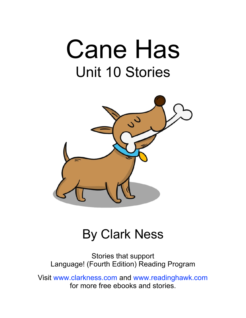# Cane Has Unit 10 Stories



#### By Clark Ness

Stories that support Language! (Fourth Edition) Reading Program

Visit [www.clarkness.com](http://www.clarkness.com) and [www.readinghawk.com](http://www.readinghawk.com) for more free ebooks and stories.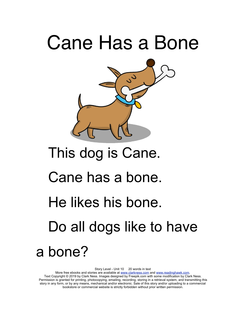### Cane Has a Bone



### This dog is Cane.

#### Cane has a bone.

#### He likes his bone.

Do all dogs like to have

#### a bone?

Story Level - Unit 10 20 words in text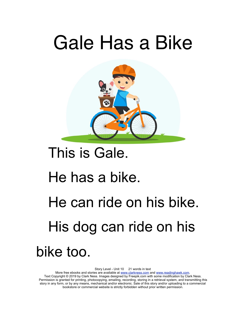### Gale Has a Bike



#### This is Gale.

#### He has a bike.

## He can ride on his bike. His dog can ride on his bike too.

Story Level - Unit 10 21 words in text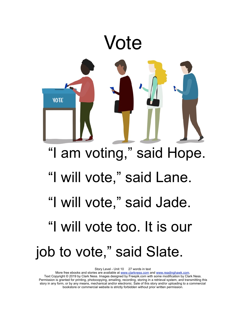

Story Level - Unit 10 27 words in text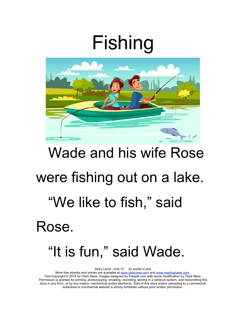## Fishing



# Wade and his wife Rose were fishing out on a lake. "We like to fish," said Rose. "It is fun," said Wade.

Story Level - Unit 10 22 words in text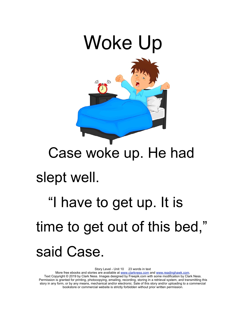

#### Case woke up. He had

#### slept well.

## "I have to get up. It is time to get out of this bed," said Case.

Story Level - Unit 10 23 words in text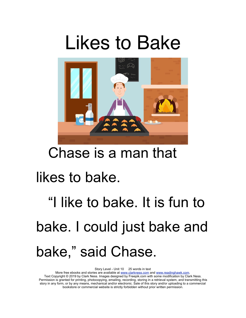### Likes to Bake



#### Chase is a man that

#### likes to bake.

## "I like to bake. It is fun to bake. I could just bake and bake," said Chase.

Story Level - Unit 10 25 words in text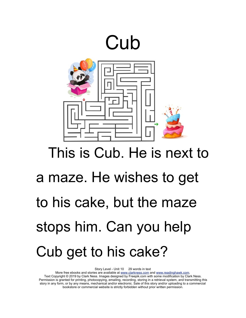

# This is Cub. He is next to a maze. He wishes to get to his cake, but the maze stops him. Can you help Cub get to his cake?

Story Level - Unit 10 29 words in text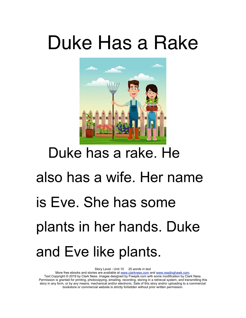### Duke Has a Rake



### Duke has a rake. He

# also has a wife. Her name is Eve. She has some plants in her hands. Duke and Eve like plants.

Story Level - Unit 10 25 words in text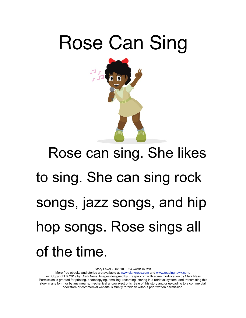

# Rose can sing. She likes to sing. She can sing rock songs, jazz songs, and hip hop songs. Rose sings all of the time.

Story Level - Unit 10 24 words in text